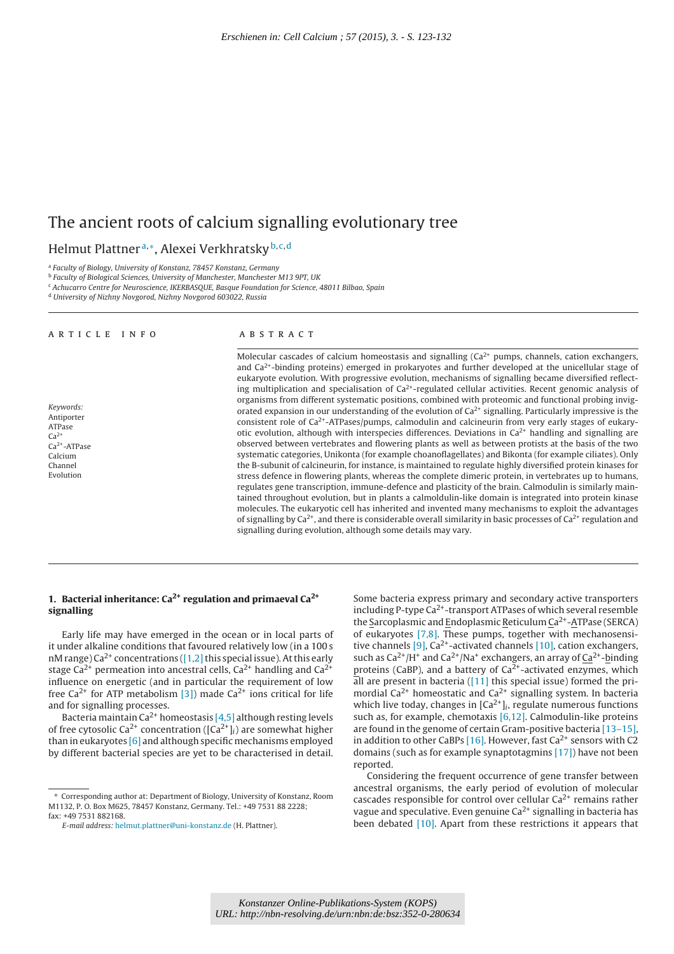# The ancient roots of calcium signalling evolutionary tree

# Helmut Plattner<sup>a,\*</sup>, Alexei Verkhratsky<sup>b,c,d</sup>

<sup>a</sup> Faculty of Biology, University of Konstanz, 78457 Konstanz, Germany

<sup>b</sup> Faculty of Biological Sciences, University of Manchester, Manchester M13 9PT, UK

<sup>c</sup> Achucarro Centre for Neuroscience, IKERBASQUE, Basque Foundation for Science, 48011 Bilbao, Spain

<sup>d</sup> University of Nizhny Novgorod, Nizhny Novgorod 603022, Russia

#### a r t i c l e i n f o

#### Keywords: Antiporter ATPase  $Ca<sup>2+</sup>$ Ca2+-ATPase Calcium Channel Evolution

## A B S T R A C T

Molecular cascades of calcium homeostasis and signalling  $(Ca^{2+})$  pumps, channels, cation exchangers, and Ca2+-binding proteins) emerged in prokaryotes and further developed at the unicellular stage of eukaryote evolution. With progressive evolution, mechanisms of signalling became diversified reflecting multiplication and specialisation of Ca<sup>2+</sup>-regulated cellular activities. Recent genomic analysis of organisms from different systematic positions, combined with proteomic and functional probing invigorated expansion in our understanding of the evolution of Ca<sup>2+</sup> signalling. Particularly impressive is the consistent role of  $Ca^{2+}$ -ATPases/pumps, calmodulin and calcineurin from very early stages of eukaryotic evolution, although with interspecies differences. Deviations in  $Ca<sup>2+</sup>$  handling and signalling are observed between vertebrates and flowering plants as well as between protists at the basis of the two systematic categories, Unikonta (for example choanoflagellates) and Bikonta (for example ciliates). Only the B-subunit of calcineurin, for instance, is maintained to regulate highly diversified protein kinases for stress defence in flowering plants, whereas the complete dimeric protein, in vertebrates up to humans, regulates gene transcription, immune-defence and plasticity of the brain. Calmodulin is similarly maintained throughout evolution, but in plants a calmoldulin-like domain is integrated into protein kinase molecules. The eukaryotic cell has inherited and invented many mechanisms to exploit the advantages of signalling by  $Ca^{2+}$ , and there is considerable overall similarity in basic processes of  $Ca^{2+}$  regulation and signalling during evolution, although some details may vary.

# **1. Bacterial inheritance: Ca2+ regulation and primaeval Ca2+ signalling**

Early life may have emerged in the ocean or in local parts of it under alkaline conditions that favoured relatively low (in a 100 s nM range) Ca<sup>2+</sup> concentrations ([1,2] this special issue). At this early stage Ca<sup>2+</sup> permeation into ancestral cells, Ca<sup>2+</sup> handling and Ca<sup>2+</sup> influence on energetic (and in particular the requirement of low free Ca<sup>2+</sup> for ATP metabolism [3]) made Ca<sup>2+</sup> ions critical for life and for signalling processes.

Bacteria maintain Ca<sup>2+</sup> homeostasis [4,5] although resting levels of free cytosolic Ca<sup>2+</sup> concentration ( $[Ca<sup>2+</sup>]$ ) are somewhat higher than in eukaryotes [6] and although specific mechanisms employed by different bacterial species are yet to be characterised in detail. Some bacteria express primary and secondary active transporters including P-type  $Ca^{2+}$ -transport ATPases of which several resemble the Sarcoplasmic and Endoplasmic Reticulum  $Ca^{2+}$ -ATPase (SERCA) of eukaryotes [7,8]. These pumps, together with mechanosensitive channels  $[9]$ , Ca<sup>2+</sup>-activated channels  $[10]$ , cation exchangers, such as  $Ca^{2+}/H^+$  and  $Ca^{2+}/Na^+$  exchangers, an array of  $Ca^{2+}$ -binding proteins (CaBP), and a battery of  $Ca<sup>2+</sup>$ -activated enzymes, which all are present in bacteria ( $\left[11\right]$  this special issue) formed the primordial Ca<sup>2+</sup> homeostatic and Ca<sup>2+</sup> signalling system. In bacteria which live today, changes in  $\mathsf{[Ca^{2+}]_{i},}$  regulate numerous functions such as, for example, chemotaxis [6,12]. Calmodulin-like proteins are found in the genome of certain Gram-positive bacteria [13–15], in addition to other CaBPs [16]. However, fast  $Ca^{2+}$  sensors with C2 domains (such as for example synaptotagmins [17]) have not been reported.

Considering the frequent occurrence of gene transfer between ancestral organisms, the early period of evolution of molecular cascades responsible for control over cellular  $Ca^{2+}$  remains rather vague and speculative. Even genuine  $Ca^{2+}$  signalling in bacteria has been debated [10]. Apart from these restrictions it appears that

Corresponding author at: Department of Biology, University of Konstanz, Room M1132, P. O. Box M625, 78457 Konstanz, Germany. Tel.: +49 7531 88 2228; fax: +49 7531 882168.

E-mail address: helmut.plattner@uni-konstanz.de (H. Plattner).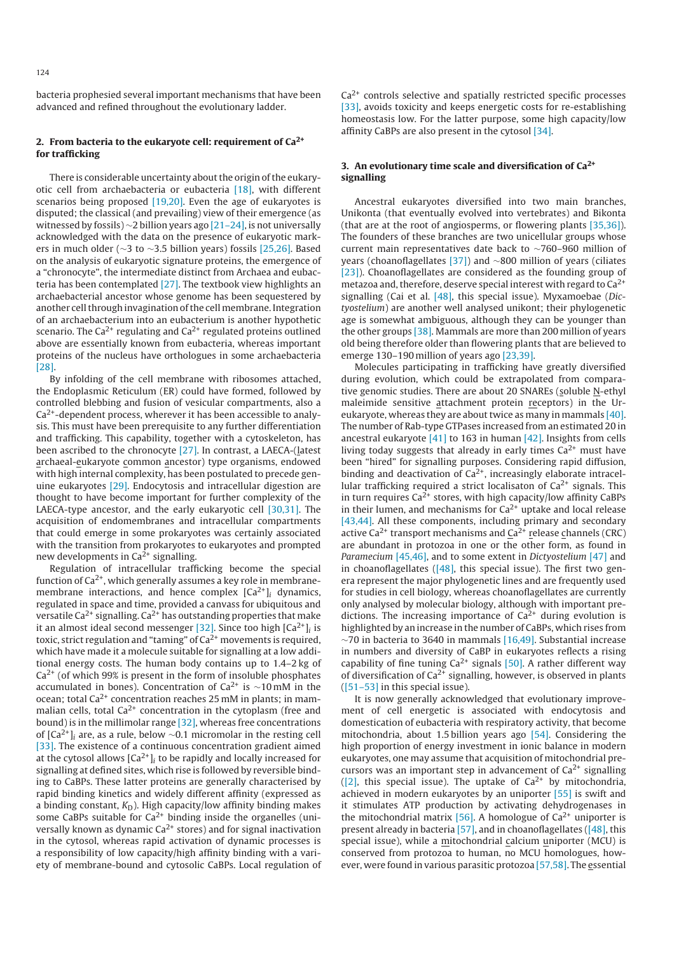bacteria prophesied several important mechanisms that have been advanced and refined throughout the evolutionary ladder.

## **2. From bacteria to the eukaryote cell: requirement of Ca2+ for trafficking**

There is considerable uncertainty about the origin of the eukaryotic cell from archaebacteria or eubacteria [18], with different scenarios being proposed [19,20]. Even the age of eukaryotes is disputed; the classical (and prevailing) view of their emergence (as witnessed by fossils) ∼2 billion years ago [21–24], is not universally acknowledged with the data on the presence of eukaryotic markers in much older (∼3 to ∼3.5 billion years) fossils [25,26]. Based on the analysis of eukaryotic signature proteins, the emergence of a "chronocyte", the intermediate distinct from Archaea and eubacteria has been contemplated [27]. The textbook view highlights an archaebacterial ancestor whose genome has been sequestered by another cell through invagination of the cell membrane. Integration of an archaebacterium into an eubacterium is another hypothetic scenario. The Ca<sup>2+</sup> regulating and Ca<sup>2+</sup> regulated proteins outlined above are essentially known from eubacteria, whereas important proteins of the nucleus have orthologues in some archaebacteria [28].

By infolding of the cell membrane with ribosomes attached, the Endoplasmic Reticulum (ER) could have formed, followed by controlled blebbing and fusion of vesicular compartments, also a  $Ca<sup>2+</sup>$ -dependent process, wherever it has been accessible to analysis. This must have been prerequisite to any further differentiation and trafficking. This capability, together with a cytoskeleton, has been ascribed to the chronocyte [27]. In contrast, a LAECA-(latest archaeal-eukaryote common ancestor) type organisms, endowed with high internal complexity, has been postulated to precede genuine eukaryotes [29]. Endocytosis and intracellular digestion are thought to have become important for further complexity of the LAECA-type ancestor, and the early eukaryotic cell [30,31]. The acquisition of endomembranes and intracellular compartments that could emerge in some prokaryotes was certainly associated with the transition from prokaryotes to eukaryotes and prompted new developments in  $Ca^{2+}$  signalling.

Regulation of intracellular trafficking become the special function of  $Ca^{2+}$ , which generally assumes a key role in membranemembrane interactions, and hence complex  $[Ca<sup>2+</sup>]$  dynamics, regulated in space and time, provided a canvass for ubiquitous and versatile Ca2+ signalling. Ca2+ has outstanding properties that make it an almost ideal second messenger [32]. Since too high  $|Ca^{2+}|\right|$  is toxic, strict regulation and "taming" of  $Ca^{2+}$  movements is required, which have made it a molecule suitable for signalling at a low additional energy costs. The human body contains up to 1.4–2 kg of  $Ca<sup>2+</sup>$  (of which 99% is present in the form of insoluble phosphates accumulated in bones). Concentration of Ca<sup>2+</sup> is ~10 mM in the ocean; total Ca<sup>2+</sup> concentration reaches 25 mM in plants; in mammalian cells, total  $Ca^{2+}$  concentration in the cytoplasm (free and bound) is in the millimolar range [32], whereas free concentrations of  $[Ca<sup>2+</sup>]$  are, as a rule, below ∼0.1 micromolar in the resting cell [33]. The existence of a continuous concentration gradient aimed at the cytosol allows  $\left[Ca^{2+}\right]$  to be rapidly and locally increased for signalling at defined sites, which rise is followed by reversible binding to CaBPs. These latter proteins are generally characterised by rapid binding kinetics and widely different affinity (expressed as a binding constant,  $K_D$ ). High capacity/low affinity binding makes some CaBPs suitable for  $Ca^{2+}$  binding inside the organelles (universally known as dynamic  $Ca^{2+}$  stores) and for signal inactivation in the cytosol, whereas rapid activation of dynamic processes is a responsibility of low capacity/high affinity binding with a variety of membrane-bound and cytosolic CaBPs. Local regulation of  $Ca<sup>2+</sup>$  controls selective and spatially restricted specific processes [33], avoids toxicity and keeps energetic costs for re-establishing homeostasis low. For the latter purpose, some high capacity/low affinity CaBPs are also present in the cytosol [34].

# **3. An evolutionary time scale and diversification of Ca2+ signalling**

Ancestral eukaryotes diversified into two main branches, Unikonta (that eventually evolved into vertebrates) and Bikonta (that are at the root of angiosperms, or flowering plants [35,36]). The founders of these branches are two unicellular groups whose current main representatives date back to ∼760–960 million of years (choanoflagellates [37]) and ∼800 million of years (ciliates [23]). Choanoflagellates are considered as the founding group of metazoa and, therefore, deserve special interest with regard to  $Ca^{2+}$ signalling (Cai et al. [48], this special issue). Myxamoebae (Dictyostelium) are another well analysed unikont; their phylogenetic age is somewhat ambiguous, although they can be younger than the other groups [38]. Mammals are more than 200 million of years old being therefore older than flowering plants that are believed to emerge 130–190 million of years ago [23,39].

Molecules participating in trafficking have greatly diversified during evolution, which could be extrapolated from comparative genomic studies. There are about 20 SNAREs (soluble N-ethyl maleimide sensitive attachment protein receptors) in the Ureukaryote, whereas they are about twice as many in mammals  $[40]$ . The number of Rab-type GTPases increased from an estimated 20 in ancestral eukaryote [41] to 163 in human [42]. Insights from cells living today suggests that already in early times  $Ca<sup>2+</sup>$  must have been "hired" for signalling purposes. Considering rapid diffusion, binding and deactivation of  $Ca<sup>2+</sup>$ , increasingly elaborate intracellular trafficking required a strict localisaton of  $Ca<sup>2+</sup>$  signals. This in turn requires  $Ca^{2+}$  stores, with high capacity/low affinity CaBPs in their lumen, and mechanisms for  $Ca^{2+}$  uptake and local release [43,44]. All these components, including primary and secondary active Ca<sup>2+</sup> transport mechanisms and  $Ca^{2+}$  release channels (CRC) are abundant in protozoa in one or the other form, as found in Paramecium [45,46], and to some extent in Dictyostelium [47] and in choanoflagellates  $([48]$ , this special issue). The first two genera represent the major phylogenetic lines and are frequently used for studies in cell biology, whereas choanoflagellates are currently only analysed by molecular biology, although with important predictions. The increasing importance of  $Ca<sup>2+</sup>$  during evolution is highlighted by an increase in the number of CaBPs, which rises from  $\sim$ 70 in bacteria to 3640 in mammals [16,49]. Substantial increase in numbers and diversity of CaBP in eukaryotes reflects a rising capability of fine tuning  $Ca^{2+}$  signals [50]. A rather different way of diversification of  $Ca^{2+}$  signalling, however, is observed in plants  $([51–53]$  in this special issue).

It is now generally acknowledged that evolutionary improvement of cell energetic is associated with endocytosis and domestication of eubacteria with respiratory activity, that become mitochondria, about 1.5 billion years ago [54]. Considering the high proportion of energy investment in ionic balance in modern eukaryotes, one may assume that acquisition of mitochondrial precursors was an important step in advancement of  $Ca^{2+}$  signalling ( $[2]$ , this special issue). The uptake of  $Ca^{2+}$  by mitochondria, achieved in modern eukaryotes by an uniporter [55] is swift and it stimulates ATP production by activating dehydrogenases in the mitochondrial matrix [56]. A homologue of  $Ca^{2+}$  uniporter is present already in bacteria [57], and in choanoflagellates ([48], this special issue), while a mitochondrial calcium uniporter (MCU) is conserved from protozoa to human, no MCU homologues, however, were found in various parasitic protozoa [57,58]. The essential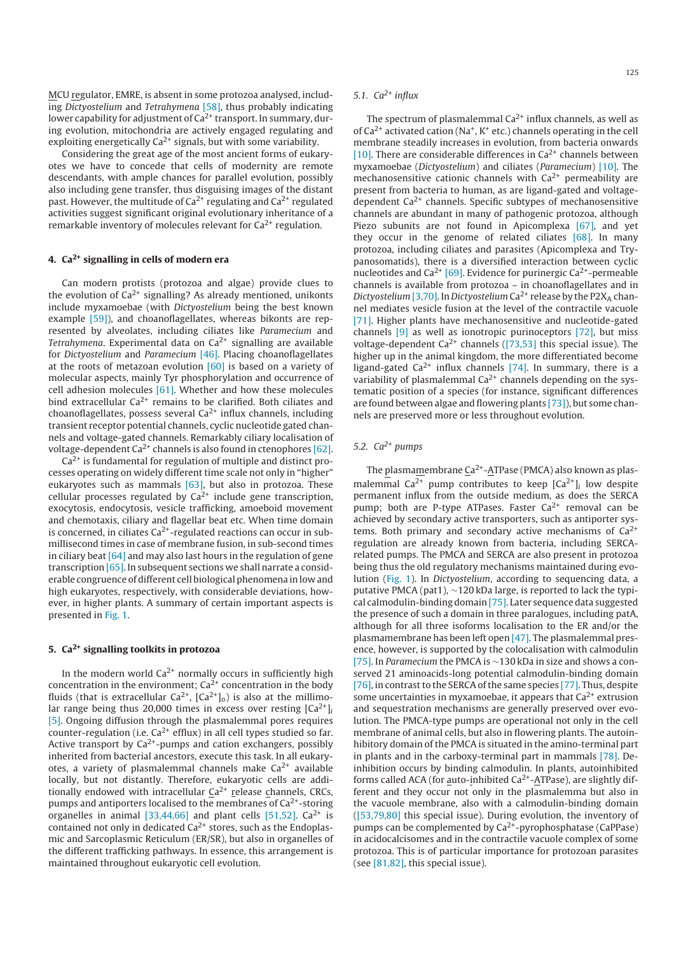MCU regulator, EMRE, is absent in some protozoa analysed, including Dictyostelium and Tetrahymena [58], thus probably indicating lower capability for adjustment of  $Ca^{2+}$  transport. In summary, during evolution, mitochondria are actively engaged regulating and exploiting energetically  $Ca^{2+}$  signals, but with some variability.

Considering the great age of the most ancient forms of eukaryotes we have to concede that cells of modernity are remote descendants, with ample chances for parallel evolution, possibly also including gene transfer, thus disguising images of the distant past. However, the multitude of  $Ca^{2+}$  regulating and  $Ca^{2+}$  regulated activities suggest significant original evolutionary inheritance of a remarkable inventory of molecules relevant for  $Ca^{2+}$  regulation.

# **4. Ca2+ signalling in cells of modern era**

Can modern protists (protozoa and algae) provide clues to the evolution of  $Ca^{2+}$  signalling? As already mentioned, unikonts include myxamoebae (with Dictyostelium being the best known example [59]), and choanoflagellates, whereas bikonts are represented by alveolates, including ciliates like Paramecium and Tetrahymena. Experimental data on  $Ca^{2+}$  signalling are available for Dictyostelium and Paramecium [46]. Placing choanoflagellates at the roots of metazoan evolution [60] is based on a variety of molecular aspects, mainly Tyr phosphorylation and occurrence of cell adhesion molecules [61]. Whether and how these molecules bind extracellular  $Ca^{2+}$  remains to be clarified. Both ciliates and choanoflagellates, possess several  $Ca<sup>2+</sup>$  influx channels, including transient receptor potential channels, cyclic nucleotide gated channels and voltage-gated channels. Remarkably ciliary localisation of voltage-dependent  $Ca^{2+}$  channels is also found in ctenophores [62].

 $Ca<sup>2+</sup>$  is fundamental for regulation of multiple and distinct processes operating on widely different time scale not only in "higher" eukaryotes such as mammals [63], but also in protozoa. These cellular processes regulated by  $Ca^{2+}$  include gene transcription, exocytosis, endocytosis, vesicle trafficking, amoeboid movement and chemotaxis, ciliary and flagellar beat etc. When time domain is concerned, in ciliates  $Ca^{2+}$ -regulated reactions can occur in submillisecond times in case of membrane fusion, in sub-second times in ciliary beat [64] and may also last hours in the regulation of gene transcription [65]. In subsequent sections we shall narrate a considerable congruence of different cell biological phenomena in low and high eukaryotes, respectively, with considerable deviations, however, in higher plants. A summary of certain important aspects is presented in Fig. 1.

# **5. Ca2+ signalling toolkits in protozoa**

In the modern world  $Ca^{2+}$  normally occurs in sufficiently high concentration in the environment;  $Ca^{2+}$  concentration in the body fluids (that is extracellular  $Ca^{2+}$ ,  $[Ca^{2+}]_0$ ) is also at the millimolar range being thus 20,000 times in excess over resting  $[Ca^{2+}]_i$ [5]. Ongoing diffusion through the plasmalemmal pores requires counter-regulation (i.e.  $Ca^{2+}$  efflux) in all cell types studied so far. Active transport by  $Ca^{2+}$ -pumps and cation exchangers, possibly inherited from bacterial ancestors, execute this task. In all eukaryotes, a variety of plasmalemmal channels make  $Ca^{2+}$  available locally, but not distantly. Therefore, eukaryotic cells are additionally endowed with intracellular  $Ca^{2+}$  release channels, CRCs, pumps and antiporters localised to the membranes of  $Ca<sup>2+</sup>$ -storing organelles in animal [33,44,66] and plant cells [51,52].  $Ca^{2+}$  is contained not only in dedicated  $Ca^{2+}$  stores, such as the Endoplasmic and Sarcoplasmic Reticulum (ER/SR), but also in organelles of the different trafficking pathways. In essence, this arrangement is maintained throughout eukaryotic cell evolution.

## 5.1.  $Ca^{2+}$  influx

The spectrum of plasmalemmal  $Ca<sup>2+</sup>$  influx channels, as well as of  $Ca^{2+}$  activated cation (Na<sup>+</sup>, K<sup>+</sup> etc.) channels operating in the cell membrane steadily increases in evolution, from bacteria onwards [10]. There are considerable differences in  $Ca^{2+}$  channels between myxamoebae (Dictyostelium) and ciliates (Paramecium) [10]. The mechanosensitive cationic channels with  $Ca<sup>2+</sup>$  permeability are present from bacteria to human, as are ligand-gated and voltagedependent  $Ca<sup>2+</sup>$  channels. Specific subtypes of mechanosensitive channels are abundant in many of pathogenic protozoa, although Piezo subunits are not found in Apicomplexa [67], and yet they occur in the genome of related ciliates [68]. In many protozoa, including ciliates and parasites (Apicomplexa and Trypanosomatids), there is a diversified interaction between cyclic nucleotides and Ca<sup>2+</sup> [69]. Evidence for purinergic Ca<sup>2+</sup>-permeable channels is available from protozoa – in choanoflagellates and in Dictyostelium [3,70]. In Dictyostelium Ca<sup>2+</sup> release by the P2X<sub>A</sub> channel mediates vesicle fusion at the level of the contractile vacuole [71]. Higher plants have mechanosensitive and nucleotide-gated channels [9] as well as ionotropic purinoceptors [72], but miss voltage-dependent  $Ca^{2+}$  channels ([73,53] this special issue). The higher up in the animal kingdom, the more differentiated become ligand-gated  $Ca^{2+}$  influx channels [74]. In summary, there is a variability of plasmalemmal  $Ca^{2+}$  channels depending on the systematic position of a species (for instance, significant differences are found between algae and flowering plants [73]), but some channels are preserved more or less throughout evolution.

# 5.2.  $Ca^{2+}$  pumps

The plasmamembrane  $Ca^{2+}-ATP$ ase (PMCA) also known as plasmalemmal Ca<sup>2+</sup> pump contributes to keep  $[Ca^{2+}]_i$  low despite permanent influx from the outside medium, as does the SERCA pump; both are P-type ATPases. Faster  $Ca^{2+}$  removal can be achieved by secondary active transporters, such as antiporter systems. Both primary and secondary active mechanisms of  $Ca^{2+}$ regulation are already known from bacteria, including SERCArelated pumps. The PMCA and SERCA are also present in protozoa being thus the old regulatory mechanisms maintained during evolution (Fig. 1). In Dictyostelium, according to sequencing data, a putative PMCA (pat1), ∼120 kDa large, is reported to lack the typical calmodulin-binding domain [75]. Later sequence data suggested the presence of such a domain in three paralogues, including patA, although for all three isoforms localisation to the ER and/or the plasmamembrane has been left open [47]. The plasmalemmal presence, however, is supported by the colocalisation with calmodulin [75]. In Paramecium the PMCA is ∼130 kDa in size and shows a conserved 21 aminoacids-long potential calmodulin-binding domain [76], in contrast to the SERCA of the same species [77]. Thus, despite some uncertainties in myxamoebae, it appears that  $Ca<sup>2+</sup>$  extrusion and sequestration mechanisms are generally preserved over evolution. The PMCA-type pumps are operational not only in the cell membrane of animal cells, but also in flowering plants. The autoinhibitory domain of the PMCA is situated in the amino-terminal part in plants and in the carboxy-terminal part in mammals [78]. Deinhibition occurs by binding calmodulin. In plants, autoinhibited forms called ACA (for auto-inhibited  $Ca<sup>2+</sup>$ -ATPase), are slightly different and they occur not only in the plasmalemma but also in the vacuole membrane, also with a calmodulin-binding domain ([53,79,80] this special issue). During evolution, the inventory of pumps can be complemented by Ca<sup>2+</sup>-pyrophosphatase (CaPPase) in acidocalcisomes and in the contractile vacuole complex of some protozoa. This is of particular importance for protozoan parasites (see [81,82], this special issue).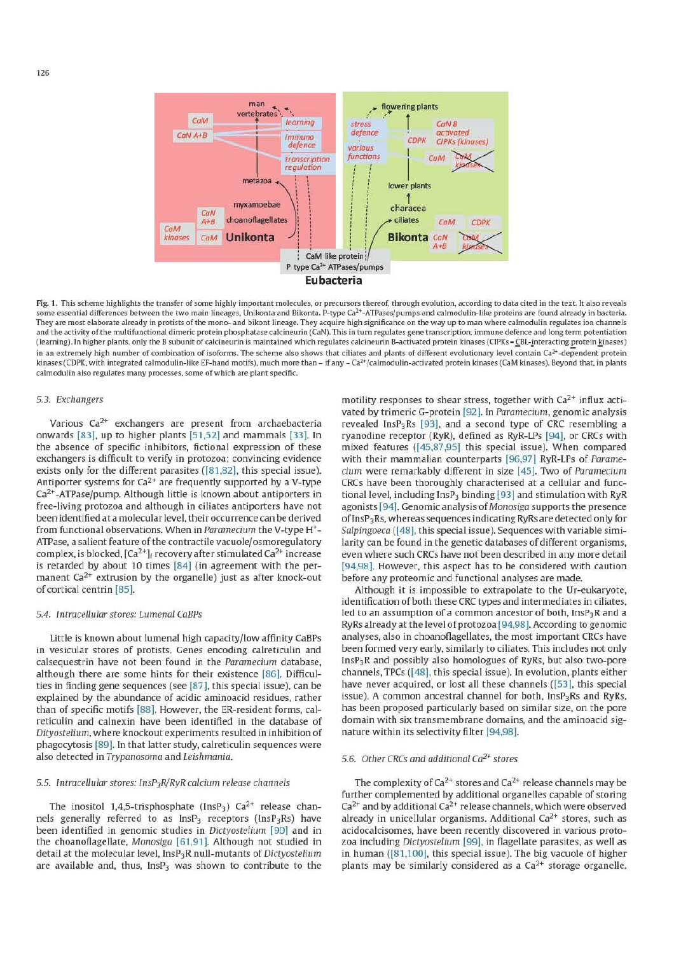

Fig. 1. This scheme highlights the transfer of some highly important molecules, or precursors thereof, through evolution, according to data cited in the text. It also reveals some essential differences between the two main lineages. Unikonta and Bikonta. P-type Ca<sup>2+</sup>-ATPases/pumps and calmodulin-like proteins are found already in bacteria. They are most elaborate already in protists of the mono- and bikont lineage. They acquire high significance on the way up to man *where* calmodulin regulates ion channels and the activity of the multifunctional dimeric protein phosphatase calcineurin (CaN). This in turn regulates gene transcription, immune defence and long term potentiation (learning). In higher plants, only the B subunit of calcineurin is maintained which regulates calcineurin B-activated protein kinases (CIPKs = CBL-interacting protein kinases) in an extremely high number of combination of isoforms. The scheme also shows that ciliates and plants of different evolutionary level contain Ca<sup>2+</sup>-dependent protein kinases (CDPK, with integrated calmodulin-like EF-hand motifs), much more than - if any - Ca<sup>2+</sup>/calmodulin-activated protein kinases (CaM kinases). Beyond that, in plants calmodulin also regulates many processes. *some* of which are plant specific.

#### 5.3. Exchangers

Various Ca2• exchangers are present from archaebacteria onwards [83), up to higher plants [51,52) and mammals [33]. In the absence of specific inhibitors, fictional expression of these exchangers is difficult to verify in protozoa: convincing evidence exists only for the different parasites ([81,82], this special issue). Antiporter systems for Ca2+ are frequently supported by a V-type Ca2• -ATPase/pump. Although little is known about antiporters in free-living protozoa and although in ciliates antiporters have not been identified at a molecular level, their occurrence can be derived from functional observations. When in Paramecium the V-type H<sup>+</sup>-ATPase, a salient feature of the contractile vacuole/osmoregulatory complex, is blocked,  $\left[Ca^{2+}\right]_i$  recovery after stimulated Ca $^{2+}$  increase is retarded by about 10 times (84) (in agreement with the permanent  $Ca^{2+}$  extrusion by the organelle) just as after knock-out of cortical centrin [85].

## 5.4. Intracellular stores: Lumenal CaBPs

Little is known about lumenal high capadty/low affinity CaBPs in vesicular stores of protists. Genes encoding calreticulin and calsequestrin have not been found in the Paramecium database, although there are some hints for their existence [86]. Difficulties in finding gene sequences (see (87), this special issue), can be explained by the abundance of acidic aminoacid residues, rather than of specific motifs [88]. However, the ER-resident forms, calreticulin and calnexin have been identified in the database of Dityostelium, where knockout experiments resulted in inhibition of phagocytosis [89]. In that latter study, calreticulin sequences were also detected in Trypanosoma and Leishmania.

#### 5.5. Intracellular stores: lnsP*3*R/RyR calcium release channels

The inositol 1,4,5-trisphosphate (InsP<sub>3</sub>) Ca<sup>2+</sup> release channels generally referred to as InsP<sub>3</sub> receptors (InsP<sub>3</sub>Rs) have been identified in genomic studies in Dictyostelium [90) and in the choanoflagellate, Monosiga [61,91]. Although not studied in detail at the molecular level. InsP<sub>3</sub>R null-mutants of Dictyostelium are available and, thus,  $InsP<sub>3</sub>$  was shown to contribute to the

motility responses to shear stress, together with  $Ca^{2+}$  influx activated by trimeric G-protein [92]. In Paramecium, genomic analysis revealed InsP<sub>3</sub>Rs [93], and a second type of CRC resembling a ryanodine receptor (RyR), defined as RyR-LPs [94], or CRCs with mixed features ((45,87,95) this special issue). When compared with their mammalian counterparts [96,97) RyR-LPs of Paramecium were remarkably different in size (45). Two of Paramecium CRCs have been thoroughly characterised at a cellular and functional level, including  $InsP<sub>3</sub>$  binding [93] and stimulation with RyR agonists (94). Genomic analysis of Monosiga supports the presence oflnsP3Rs, whereas sequences indicating RyRsare detected only for Salpingoeca ([48], this special issue). Sequences with variable similarity can be found in the genetic databases of different organisms, even where such CRCs have not been described in any more detail [94,98]. However, this aspect has to be considered with caution before any proteomic and functional analyses are made.

Although it is impossible to extrapolate to the Ur-eukaryote, identification of both these CRC types and intermediates in ciliates, led to an assumption of a common ancestor of both,  $InsP_3R$  and a RyRs already at the level of protozoa [ 94,98]. According to genomic analyses, also in choanoflagellates, the most important CRCs have been formed very early, similarly to ciliates. This includes not only lnsP3R and possibly also homologues of RyRs, but also two-pore channels, TPCs ([48). this special issue). In evolution, plants either have never acquired, or lost all these channels ([53), this special issue). A common ancestral channel for both,  $InsP_3Rs$  and RyRs, has been proposed particularly based on similar size. on the pore domain with six transmembrane domains, and the aminoacid signature within its selectivity filter [94,98].

## 5.6. Other CRCs and additional Ca<sup>2+</sup> stores

The complexity of  $Ca^{2+}$  stores and  $Ca^{2+}$  release channels may be further complemented by additional organelles capable of storing  $Ca<sup>2+</sup>$  and by additional  $Ca<sup>2+</sup>$  release channels, which were observed already in unicellular organisms. Additional  $Ca<sup>2+</sup>$  stores, such as acidocalcisomes, have been recently discovered in various protozoa including Dictyostelium [99), in flagellate parasites, as well as in human ([81 ,100], this special issue). The big vacuole of higher plants may be similarly considered as a  $Ca<sup>2+</sup>$  storage organelle.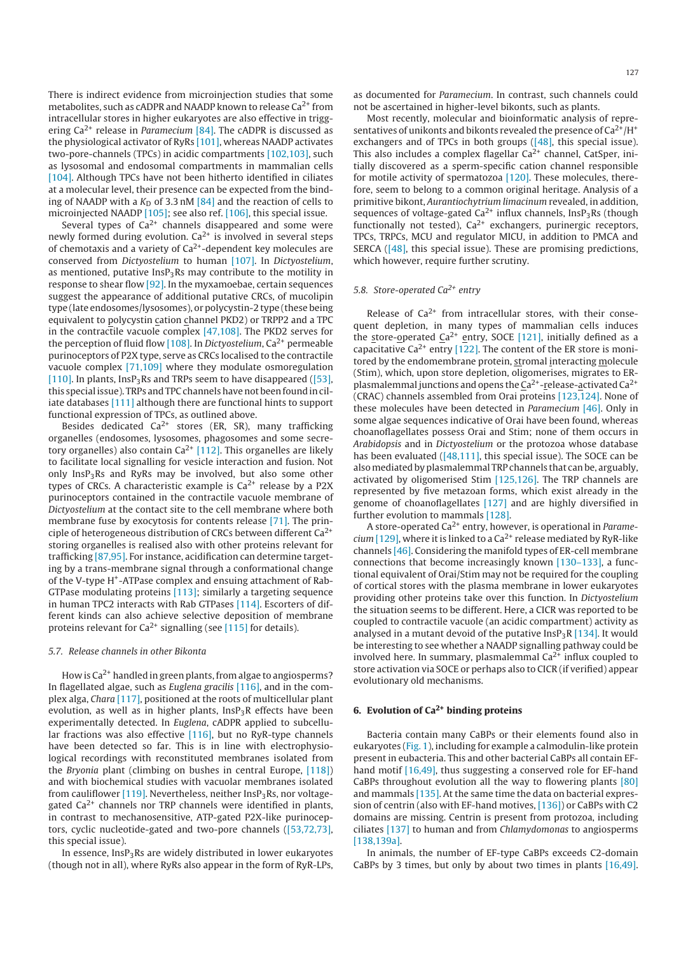There is indirect evidence from microinjection studies that some metabolites, such as cADPR and NAADP known to release  $Ca^{2+}$  from intracellular stores in higher eukaryotes are also effective in triggering  $Ca^{2+}$  release in *Paramecium* [84]. The cADPR is discussed as the physiological activator of RyRs [101], whereas NAADP activates two-pore-channels (TPCs) in acidic compartments [102,103], such as lysosomal and endosomal compartments in mammalian cells [104]. Although TPCs have not been hitherto identified in ciliates at a molecular level, their presence can be expected from the binding of NAADP with a  $K<sub>D</sub>$  of 3.3 nM [84] and the reaction of cells to microinjected NAADP [105]; see also ref. [106], this special issue.

Several types of  $Ca^{2+}$  channels disappeared and some were newly formed during evolution.  $Ca^{2+}$  is involved in several steps of chemotaxis and a variety of  $Ca^{2+}$ -dependent key molecules are conserved from Dictyostelium to human [107]. In Dictyostelium, as mentioned, putative  $InsP<sub>3</sub>Rs$  may contribute to the motility in response to shear flow [92]. In the myxamoebae, certain sequences suggest the appearance of additional putative CRCs, of mucolipin type (late endosomes/lysosomes), or polycystin-2 type (these being equivalent to polycystin cation channel PKD2) or TRPP2 and a TPC in the contractile vacuole complex  $[47,108]$ . The PKD2 serves for the perception of fluid flow [108]. In Dictyostelium,  $Ca^{2+}$  permeable purinoceptors of P2X type, serve as CRCs localised to the contractile vacuole complex [71,109] where they modulate osmoregulation [110]. In plants, InsP<sub>3</sub>Rs and TRPs seem to have disappeared ([53], this special issue). TRPs and TPC channels have not been found in ciliate databases [111] although there are functional hints to support functional expression of TPCs, as outlined above.

Besides dedicated  $Ca^{2+}$  stores (ER, SR), many trafficking organelles (endosomes, lysosomes, phagosomes and some secretory organelles) also contain  $Ca^{2+}$  [112]. This organelles are likely to facilitate local signalling for vesicle interaction and fusion. Not only  $InsP_3Rs$  and RyRs may be involved, but also some other types of CRCs. A characteristic example is  $Ca<sup>2+</sup>$  release by a P2X purinoceptors contained in the contractile vacuole membrane of Dictyostelium at the contact site to the cell membrane where both membrane fuse by exocytosis for contents release [71]. The principle of heterogeneous distribution of CRCs between different  $Ca^{2+}$ storing organelles is realised also with other proteins relevant for trafficking [87,95]. For instance, acidification can determine targeting by a trans-membrane signal through a conformational change of the V-type H<sup>+</sup>-ATPase complex and ensuing attachment of Rab-GTPase modulating proteins [113]; similarly a targeting sequence in human TPC2 interacts with Rab GTPases [114]. Escorters of different kinds can also achieve selective deposition of membrane proteins relevant for  $Ca^{2+}$  signalling (see [115] for details).

#### 5.7. Release channels in other Bikonta

How is  $Ca^{2+}$  handled in green plants, from algae to angiosperms? In flagellated algae, such as Euglena gracilis [116], and in the complex alga, Chara [117], positioned at the roots of multicellular plant evolution, as well as in higher plants,  $InsP_3R$  effects have been experimentally detected. In Euglena, cADPR applied to subcellular fractions was also effective [116], but no RyR-type channels have been detected so far. This is in line with electrophysiological recordings with reconstituted membranes isolated from the Bryonia plant (climbing on bushes in central Europe, [118]) and with biochemical studies with vacuolar membranes isolated from cauliflower [119]. Nevertheless, neither  $InsP<sub>3</sub>Rs$ , nor voltagegated  $Ca<sup>2+</sup>$  channels nor TRP channels were identified in plants, in contrast to mechanosensitive, ATP-gated P2X-like purinoceptors, cyclic nucleotide-gated and two-pore channels ([53,72,73], this special issue).

In essence, InsP3Rs are widely distributed in lower eukaryotes (though not in all), where RyRs also appear in the form of RyR-LPs, as documented for Paramecium. In contrast, such channels could not be ascertained in higher-level bikonts, such as plants.

Most recently, molecular and bioinformatic analysis of representatives of unikonts and bikonts revealed the presence of  $Ca^{2+}/H^+$ exchangers and of TPCs in both groups ([48], this special issue). This also includes a complex flagellar  $Ca^{2+}$  channel, CatSper, initially discovered as a sperm-specific cation channel responsible for motile activity of spermatozoa [120]. These molecules, therefore, seem to belong to a common original heritage. Analysis of a primitive bikont, Aurantiochytrium limacinum revealed, in addition, sequences of voltage-gated  $Ca^{2+}$  influx channels, InsP<sub>3</sub>Rs (though functionally not tested),  $Ca^{2+}$  exchangers, purinergic receptors, TPCs, TRPCs, MCU and regulator MICU, in addition to PMCA and SERCA ([48], this special issue). These are promising predictions, which however, require further scrutiny.

## 5.8. Store-operated  $Ca^{2+}$  entry

Release of  $Ca^{2+}$  from intracellular stores, with their consequent depletion, in many types of mammalian cells induces the store-operated  $Ca^{2+}$  entry, SOCE [121], initially defined as a capacitative Ca<sup>2+</sup> entry [122]. The content of the ER store is monitored by the endomembrane protein, stromal interacting molecule (Stim), which, upon store depletion, oligomerises, migrates to ERplasmalemmal junctions and opens the  $Ca^{2+}$ -release-activated  $Ca^{2+}$ (CRAC) channels assembled from Orai proteins [123,124]. None of these molecules have been detected in Paramecium [46]. Only in some algae sequences indicative of Orai have been found, whereas choanoflagellates possess Orai and Stim; none of them occurs in Arabidopsis and in Dictyostelium or the protozoa whose database has been evaluated ([48,111], this special issue). The SOCE can be also mediated by plasmalemmal TRP channels that can be, arguably, activated by oligomerised Stim [125,126]. The TRP channels are represented by five metazoan forms, which exist already in the genome of choanoflagellates [127] and are highly diversified in further evolution to mammals [128].

A store-operated  $Ca^{2+}$  entry, however, is operational in Paramecium [129], where it is linked to a Ca<sup>2+</sup> release mediated by RyR-like channels [46]. Considering the manifold types of ER-cell membrane connections that become increasingly known [130–133], a functional equivalent of Orai/Stim may not be required for the coupling of cortical stores with the plasma membrane in lower eukaryotes providing other proteins take over this function. In Dictyostelium the situation seems to be different. Here, a CICR was reported to be coupled to contractile vacuole (an acidic compartment) activity as analysed in a mutant devoid of the putative  $InsP_3R$  [134]. It would be interesting to see whether a NAADP signalling pathway could be involved here. In summary, plasmalemmal  $Ca<sup>2+</sup>$  influx coupled to store activation via SOCE or perhaps also to CICR (if verified) appear evolutionary old mechanisms.

## **6. Evolution of Ca2+ binding proteins**

Bacteria contain many CaBPs or their elements found also in eukaryotes (Fig. 1), including for example a calmodulin-like protein present in eubacteria. This and other bacterial CaBPs all contain EFhand motif [16,49], thus suggesting a conserved role for EF-hand CaBPs throughout evolution all the way to flowering plants [80] and mammals [135]. At the same time the data on bacterial expression of centrin (also with EF-hand motives, [136]) or CaBPs with C2 domains are missing. Centrin is present from protozoa, including ciliates [137] to human and from Chlamydomonas to angiosperms [138,139a].

In animals, the number of EF-type CaBPs exceeds C2-domain CaBPs by 3 times, but only by about two times in plants [16,49].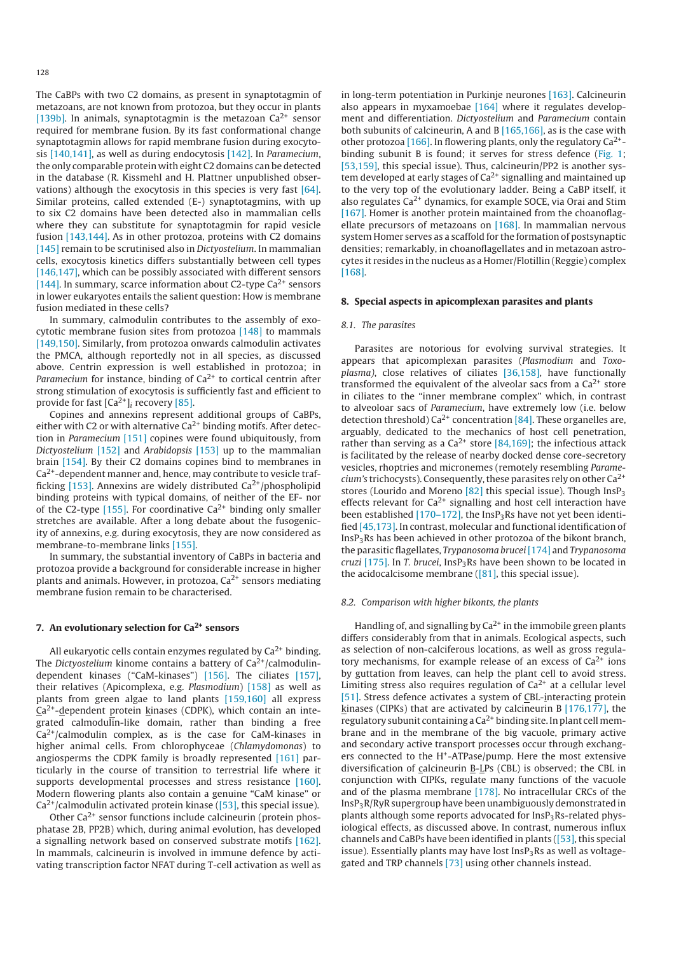The CaBPs with two C2 domains, as present in synaptotagmin of metazoans, are not known from protozoa, but they occur in plants [139b]. In animals, synaptotagmin is the metazoan  $Ca^{2+}$  sensor required for membrane fusion. By its fast conformational change synaptotagmin allows for rapid membrane fusion during exocytosis [140,141], as well as during endocytosis [142]. In Paramecium, the only comparable protein with eight C2 domains can be detected in the database (R. Kissmehl and H. Plattner unpublished observations) although the exocytosis in this species is very fast [64]. Similar proteins, called extended (E-) synaptotagmins, with up to six C2 domains have been detected also in mammalian cells where they can substitute for synaptotagmin for rapid vesicle fusion [143,144]. As in other protozoa, proteins with C2 domains [145] remain to be scrutinised also in Dictyostelium. In mammalian cells, exocytosis kinetics differs substantially between cell types [146,147], which can be possibly associated with different sensors [144]. In summary, scarce information about C2-type  $Ca^{2+}$  sensors in lower eukaryotes entails the salient question: How is membrane fusion mediated in these cells?

In summary, calmodulin contributes to the assembly of exocytotic membrane fusion sites from protozoa [148] to mammals [149,150]. Similarly, from protozoa onwards calmodulin activates the PMCA, although reportedly not in all species, as discussed above. Centrin expression is well established in protozoa; in Paramecium for instance, binding of  $Ca^{2+}$  to cortical centrin after strong stimulation of exocytosis is sufficiently fast and efficient to provide for fast  $[Ca^{2+}]$ <sub>i</sub> recovery [85].

Copines and annexins represent additional groups of CaBPs, either with C2 or with alternative  $Ca^{2+}$  binding motifs. After detection in Paramecium [151] copines were found ubiquitously, from Dictyostelium [152] and Arabidopsis [153] up to the mammalian brain [154]. By their C2 domains copines bind to membranes in  $Ca<sup>2+</sup>$ -dependent manner and, hence, may contribute to vesicle trafficking [153]. Annexins are widely distributed  $Ca^{2+}/phospholipid$ binding proteins with typical domains, of neither of the EF- nor of the C2-type [155]. For coordinative  $Ca^{2+}$  binding only smaller stretches are available. After a long debate about the fusogenicity of annexins, e.g. during exocytosis, they are now considered as membrane-to-membrane links [155].

In summary, the substantial inventory of CaBPs in bacteria and protozoa provide a background for considerable increase in higher plants and animals. However, in protozoa,  $Ca<sup>2+</sup>$  sensors mediating membrane fusion remain to be characterised.

## **7. An evolutionary selection for Ca2+ sensors**

All eukaryotic cells contain enzymes regulated by  $Ca^{2+}$  binding. The Dictyostelium kinome contains a battery of  $Ca<sup>2+</sup>/calmoduli$ ndependent kinases ("CaM-kinases") [156]. The ciliates [157], their relatives (Apicomplexa, e.g. Plasmodium) [158] as well as plants from green algae to land plants [159,160] all express  $Ca<sup>2+</sup>$ -dependent protein kinases (CDPK), which contain an integrated calmodulin-like domain, rather than binding a free  $Ca<sup>2+</sup>/calmodulin$  complex, as is the case for CaM-kinases in higher animal cells. From chlorophyceae (Chlamydomonas) to angiosperms the CDPK family is broadly represented [161] particularly in the course of transition to terrestrial life where it supports developmental processes and stress resistance [160]. Modern flowering plants also contain a genuine "CaM kinase" or  $Ca<sup>2+</sup>/calmodulin$  activated protein kinase ([53], this special issue).

Other  $Ca<sup>2+</sup>$  sensor functions include calcineurin (protein phosphatase 2B, PP2B) which, during animal evolution, has developed a signalling network based on conserved substrate motifs [162]. In mammals, calcineurin is involved in immune defence by activating transcription factor NFAT during T-cell activation as well as in long-term potentiation in Purkinje neurones [163]. Calcineurin also appears in myxamoebae [164] where it regulates development and differentiation. Dictyostelium and Paramecium contain both subunits of calcineurin, A and B [165,166], as is the case with other protozoa  $[166]$ . In flowering plants, only the regulatory Ca<sup>2+</sup>binding subunit B is found; it serves for stress defence (Fig. 1; [53,159], this special issue). Thus, calcineurin/PP2 is another system developed at early stages of  $Ca^{2+}$  signalling and maintained up to the very top of the evolutionary ladder. Being a CaBP itself, it also regulates Ca<sup>2+</sup> dynamics, for example SOCE, via Orai and Stim [167]. Homer is another protein maintained from the choanoflagellate precursors of metazoans on  $[168]$ . In mammalian nervous system Homer serves as a scaffold for the formation of postsynaptic densities; remarkably, in choanoflagellates and in metazoan astrocytes it resides in the nucleus as a Homer/Flotillin (Reggie) complex [168].

#### **8. Special aspects in apicomplexan parasites and plants**

#### 8.1. The parasites

Parasites are notorious for evolving survival strategies. It appears that apicomplexan parasites (Plasmodium and Toxoplasma), close relatives of ciliates [36,158], have functionally transformed the equivalent of the alveolar sacs from a  $Ca<sup>2+</sup>$  store in ciliates to the "inner membrane complex" which, in contrast to alveoloar sacs of Paramecium, have extremely low (i.e. below detection threshold)  $Ca^{2+}$  concentration [84]. These organelles are, arguably, dedicated to the mechanics of host cell penetration, rather than serving as a  $Ca^{2+}$  store [84,169]; the infectious attack is facilitated by the release of nearby docked dense core-secretory vesicles, rhoptries and micronemes (remotely resembling Paramecium's trichocysts). Consequently, these parasites rely on other  $Ca^{2+}$ stores (Lourido and Moreno [82] this special issue). Though  $InsP<sub>3</sub>$ effects relevant for  $Ca^{2+}$  signalling and host cell interaction have been established  $[170-172]$ , the InsP<sub>3</sub>Rs have not yet been identified [45,173]. In contrast, molecular and functional identification of  $InsP<sub>3</sub>Rs$  has been achieved in other protozoa of the bikont branch, the parasitic flagellates, Trypanosoma brucei [174] and Trypanosoma cruzi  $[175]$ . In T. brucei, Ins $P_3$ Rs have been shown to be located in the acidocalcisome membrane  $([81]$ , this special issue).

#### 8.2. Comparison with higher bikonts, the plants

Handling of, and signalling by  $Ca^{2+}$  in the immobile green plants differs considerably from that in animals. Ecological aspects, such as selection of non-calciferous locations, as well as gross regulatory mechanisms, for example release of an excess of  $Ca<sup>2+</sup>$  ions by guttation from leaves, can help the plant cell to avoid stress. Limiting stress also requires regulation of  $Ca<sup>2+</sup>$  at a cellular level [51]. Stress defence activates a system of CBL-interacting protein kinases (CIPKs) that are activated by calcineurin B  $[176,177]$ , the regulatory subunit containing a  $Ca^{2+}$  binding site. In plant cell membrane and in the membrane of the big vacuole, primary active and secondary active transport processes occur through exchangers connected to the H<sup>+</sup>-ATPase/pump. Here the most extensive diversification of calcineurin B-LPs (CBL) is observed; the CBL in conjunction with CIPKs, regulate many functions of the vacuole and of the plasma membrane [178]. No intracellular CRCs of the InsP3R/RyR supergroup have been unambiguously demonstrated in plants although some reports advocated for  $InsP<sub>3</sub>Rs$ -related physiological effects, as discussed above. In contrast, numerous influx channels and CaBPs have been identified in plants ([53], this special issue). Essentially plants may have lost  $InsP<sub>3</sub>Rs$  as well as voltagegated and TRP channels [73] using other channels instead.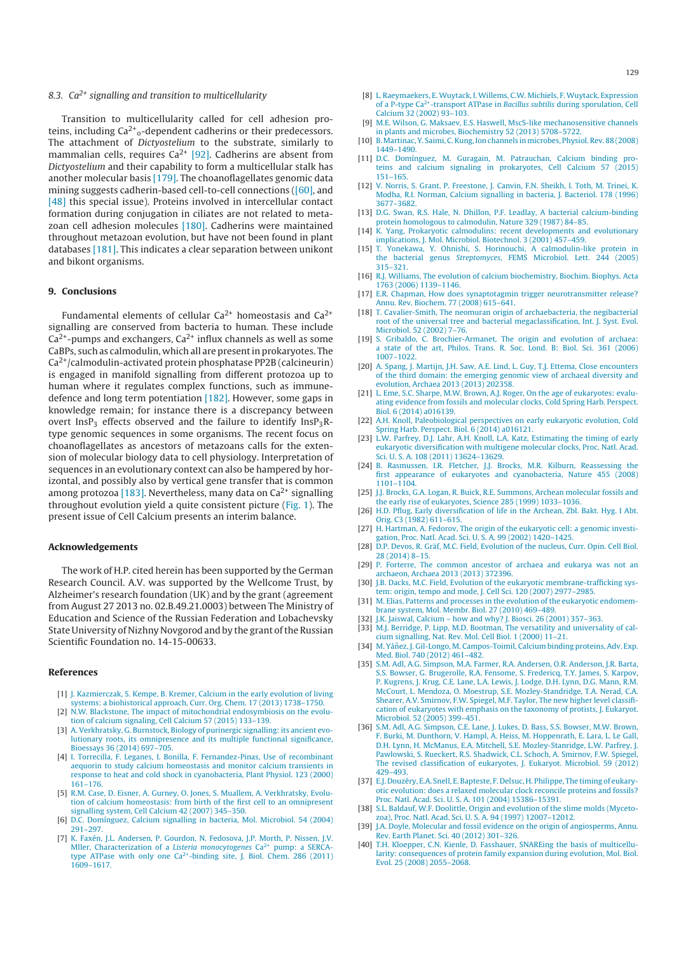### 8.3.  $Ca^{2+}$  signalling and transition to multicellularity

Transition to multicellularity called for cell adhesion proteins, including  $Ca^{2+}$ <sub>0</sub>-dependent cadherins or their predecessors. The attachment of Dictyostelium to the substrate, similarly to mammalian cells, requires  $Ca^{2+}$  [92]. Cadherins are absent from Dictyostelium and their capability to form a multicellular stalk has another molecular basis [179]. The choanoflagellates genomic data mining suggests cadherin-based cell-to-cell connections ([60], and [48] this special issue). Proteins involved in intercellular contact formation during conjugation in ciliates are not related to metazoan cell adhesion molecules [180]. Cadherins were maintained throughout metazoan evolution, but have not been found in plant databases [181]. This indicates a clear separation between unikont and bikont organisms.

#### **9. Conclusions**

Fundamental elements of cellular  $Ca^{2+}$  homeostasis and  $Ca^{2+}$ signalling are conserved from bacteria to human. These include  $Ca<sup>2+</sup>$ -pumps and exchangers,  $Ca<sup>2+</sup>$  influx channels as well as some CaBPs, such as calmodulin, which all are presentin prokaryotes. The  $Ca<sup>2+</sup>/calmodulin-activated protein phosphatase PP2B (calcineurin)$ is engaged in manifold signalling from different protozoa up to human where it regulates complex functions, such as immunedefence and long term potentiation [182]. However, some gaps in knowledge remain; for instance there is a discrepancy between overt InsP<sub>3</sub> effects observed and the failure to identify InsP<sub>3</sub>Rtype genomic sequences in some organisms. The recent focus on choanoflagellates as ancestors of metazoans calls for the extension of molecular biology data to cell physiology. Interpretation of sequences in an evolutionary context can also be hampered by horizontal, and possibly also by vertical gene transfer that is common among protozoa [183]. Nevertheless, many data on  $Ca^{2+}$  signalling throughout evolution yield a quite consistent picture (Fig. 1). The present issue of Cell Calcium presents an interim balance.

#### **Acknowledgements**

The work of H.P. cited herein has been supported by the German Research Council. A.V. was supported by the Wellcome Trust, by Alzheimer's research foundation (UK) and by the grant (agreement from August 27 2013 no. 02.B.49.21.0003) between The Ministry of Education and Science of the Russian Federation and Lobachevsky State University of Nizhny Novgorod and by the grant of the Russian Scientific Foundation no. 14-15-00633.

#### **References**

- [1] J. Kazmierczak, S. Kempe, B. Kremer, Calcium in the early evolution of living systems: a biohistorical approach, Curr. Org. Chem. 17 (2013) 1738–1750. [2] N.W. Blackstone, The impact of mitochondrial endosymbiosis on the evolu-
- tion of calcium signaling, Cell Calcium 57 (2015) 133–139. [3] A. Verkhratsky, G. Burnstock, Biology of purinergic signalling: its ancient evo-
- lutionary roots, its omnipresence and its multiple functional significance, Bioessays 36 (2014) 697–705.
- [4] I. Torrecilla, F. Leganes, I. Bonilla, F. Fernandez-Pinas, Use of recombinant aequorin to study calcium homeostasis and monitor calcium transients in response to heat and cold shock in cyanobacteria, Plant Physiol. 123 (2000) 161–176.
- [5] R.M. Case, D. Eisner, A. Gurney, O. Jones, S. Muallem, A. Verkhratsky, Evolu-tion of calcium homeostasis: from birth of the first cell to an omnipresent signalling system, Cell Calcium 42 (2007) 345–350.
- [6] D.C. Domínguez, Calcium signalling in bacteria, Mol. Microbiol. 54 (2004) 291–297.
- [7] K. Faxén, J.L. Andersen, P. Gourdon, N. Fedosova, J.P. Morth, P. Nissen, J.V. Mller, Characterization of a *Listeria monocytogenes* Ca<sup>2+</sup> pump: a SERCA-<br>type ATPase with only one Ca<sup>2+</sup>-binding site, J. Biol. Chem. 286 (2011) 1609–1617.
- [8] L. Raeymaekers, E.Wuytack, I.Willems, C.W. Michiels, F.Wuytack, Expression of a P-type Ca2+-transport ATPase in Bacillus subtilis during sporulation, Cell Calcium 32 (2002) 93–103.
- [9] M.E. Wilson, G. Maksaev, E.S. Haswell, MscS-like mechanosensitive channels in plants and microbes, Biochemistry 52 (2013) 5708–5722.
- [10] B.Martinac,Y. Saimi, C.Kung,Ionchannels inmicrobes, Physiol.Rev. 88 (2008) 1449–1490.
- [11] D.C. Domínguez, M. Guragain, M. Patrauchan, Calcium binding proteins and calcium signaling in prokaryotes, Cell Calcium 57 (2015) 151–165.
- [12] V. Norris, S. Grant, P. Freestone, J. Canvin, F.N. Sheikh, I. Toth, M. Trinei, K. Modha, R.I. Norman, Calcium signalling in bacteria, J. Bacteriol. 178 (1996) 3677–3682.
- [13] D.G. Swan, R.S. Hale, N. Dhillon, P.F. Leadlay, A bacterial calcium-binding protein homologous to calmodulin, Nature 329 (1987) 84–85.
- [14] K. Yang, Prokaryotic calmodulins: recent developments and evolutionary implications, J. Mol. Microbiol. Biotechnol. 3 (2001) 457–459.
- [15] T. Yonekawa, Y. Ohnishi, S. Horinouchi, A calmodulin-like protein in the bacterial genus Streptomyces, FEMS Microbiol. Lett. 244 (2005) 315–321.
- [16] R.J. Williams, The evolution of calcium biochemistry, Biochim. Biophys. Acta 1763 (2006) 1139–1146.
- [17] E.R. Chapman, How does synaptotagmin trigger neurotransmitter release? Annu. Rev. Biochem. 77 (2008) 615–641.
- [18] T. Cavalier-Smith, The neomuran origin of archaebacteria, the negibacterial root of the universal tree and bacterial megaclassification, Int. J. Syst. Evol. Microbiol. 52 (2002) 7–76.
- [19] S. Gribaldo, C. Brochier-Armanet, The origin and evolution of archaea: a state of the art, Philos. Trans. R. Soc. Lond. B: Biol. Sci. 361 (2006) 1007–1022.
- [20] A. Spang, J. Martijn, J.H. Saw, A.E. Lind, L. Guy, T.J. Ettema, Close encounters of the third domain: the emerging genomic view of archaeal diversity and evolution, Archaea 2013 (2013) 202358.
- [21] L. Eme, S.C. Sharpe, M.W. Brown, A.J. Roger, On the age of eukaryotes: evaluating evidence from fossils and molecular clocks, Cold Spring Harb. Perspect. Biol. 6 (2014) a016139.
- [22] A.H. Knoll, Paleobiological perspectives on early eukaryotic evolution, Cold Spring Harb. Perspect. Biol. 6 (2014) a016121.
- [23] L.W. Parfrey, D.J. Lahr, A.H. Knoll, L.A. Katz, Estimating the timing of early eukaryotic diversification with multigene molecular clocks, Proc. Natl. Acad. Sci. U. S. A. 108 (2011) 13624–13629.
- [24] B. Rasmussen, I.R. Fletcher, J.J. Brocks, M.R. Kilburn, Reassessing the first appearance of eukaryotes and cyanobacteria, Nature 455 (2008) 1101–1104.
- [25] J.J. Brocks, G.A. Logan, R. Buick, R.E. Summons, Archean molecular fossils and the early rise of eukaryotes, Science 285 (1999) 1033–1036.
- [26] H.D. Pflug, Early diversification of life in the Archean, Zbl. Bakt. Hyg. I Abt. Orig. C3 (1982) 611–615.
- [27] H. Hartman, A. Fedorov, The origin of the eukaryotic cell: a genomic investi-gation, Proc. Natl. Acad. Sci. U. S. A. 99 (2002) 1420–1425.
- [28] D.P. Devos, R. Gräf, M.C. Field, Evolution of the nucleus, Curr. Opin. Cell Biol. 28 (2014) 8–15.
- [29] P. Forterre, The common ancestor of archaea and eukarya was not an archaeon, Archaea 2013 (2013) 372396.
- [30] J.B. Dacks, M.C. Field, Evolution of the eukaryotic membrane-trafficking system: origin, tempo and mode, J. Cell Sci. 120 (2007) 2977–2985.
- [31] M. Elias, Patterns and processes in the evolution of the eukaryotic endomembrane system, Mol. Membr. Biol. 27 (2010) 469–489.
	-
	- [32] J.K. Jaiswal, Calcium how and why? J. Biosci. 26 (2001) 357–363. [33] M.J. Berridge, P. Lipp, M.D. Bootman, The versatility and universality of calcium signalling, Nat. Rev. Mol. Cell Biol. 1 (2000) 11–21.
	- [34] M. Yáñez, J. Gil-Longo, M. Campos-Toimil, Calcium binding proteins, Adv. Exp. Med. Biol. 740 (2012) 461–482.
	- [35] S.M. Adl, A.G. Simpson, M.A. Farmer, R.A. Andersen, O.R. Anderson, J.R. Barta, S.S. Bowser, G. Brugerolle, R.A. Fensome, S. Fredericq, T.Y. James, S. Karpov, P. Kugrens, J. Krug, C.E. Lane, L.A. Lewis, J. Lodge, D.H. Lynn, D.G. Mann, R.M. McCourt, L. Mendoza, O. Moestrup, S.E. Mozley-Standridge, T.A. Nerad, C.A. Shearer, A.V. Smirnov, F.W. Spiegel, M.F. Taylor, The new higher level classification of eukaryotes with emphasis on the taxonomy of protists, J. Eukaryot. Microbiol. 52 (2005) 399–451.
	- [36] S.M. Adl, A.G. Simpson, C.E. Lane, J. Lukes, D. Bass, S.S. Bowser, M.W. Brown, F. Burki, M. Dunthorn, V. Hampl, A. Heiss, M. Hoppenrath, E. Lara, L. Le Gall, D.H. Lynn, H. McManus, E.A. Mitchell, S.E. Mozley-Stanridge, L.W. Parfrey, J. Pawlowski, S. Rueckert, R.S. Shadwick, C.L. Schoch, A. Smirnov, F.W. Spiegel, The revised classification of eukaryotes, J. Eukaryot. Microbiol. 59 (2012) 429–493.
	- [37] E.J. Douzéry, E.A. Snell, E. Bapteste, F. Delsuc, H. Philippe, The timing of eukaryotic evolution: does a relaxed molecular clock reconcile proteins and fossils? Proc. Natl. Acad. Sci. U. S. A. 101 (2004) 15386–15391.
	- [38] S.L. Baldauf, W.F. Doolittle, Origin and evolution of the slime molds (Mycetozoa), Proc. Natl. Acad. Sci. U. S. A. 94 (1997) 12007–12012.
	- [39] J.A. Doyle, Molecular and fossil evidence on the origin of angiosperms, Annu. Rev. Earth Planet. Sci. 40 (2012) 301–326.
	- [40] T.H. Kloepper, C.N. Kienle, D. Fasshauer, SNAREing the basis of multicellularity: consequences of protein family expansion during evolution, Mol. Biol. Evol. 25 (2008) 2055–2068.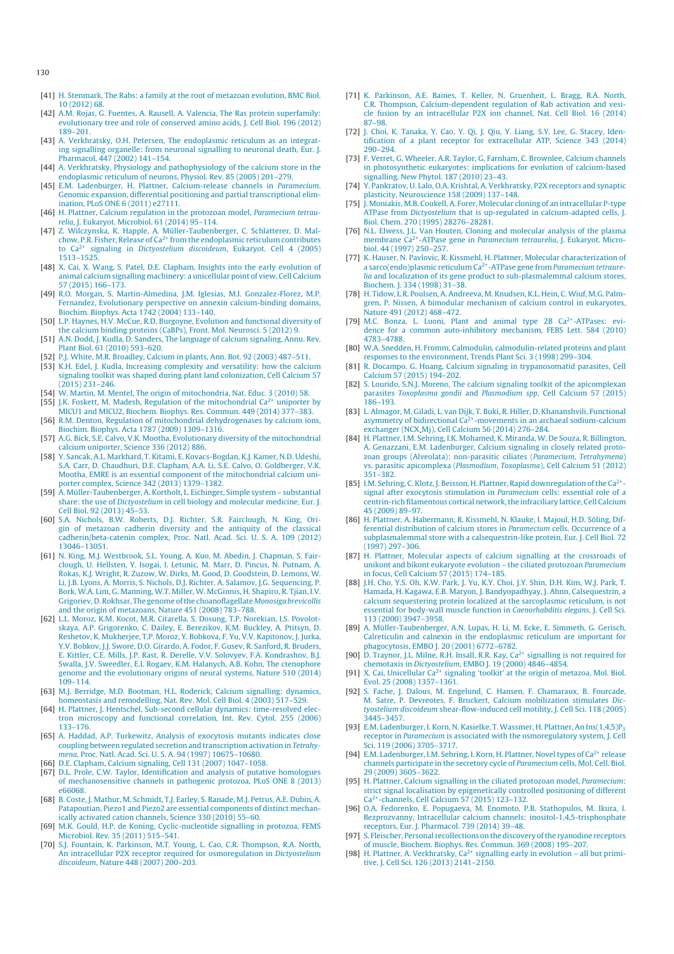- [41] H. Stenmark, The Rabs: a family at the root of metazoan evolution, BMC Biol. 10 (2012) 68.
- [42] A.M. Rojas, G. Fuentes, A. Rausell, A. Valencia, The Ras protein superfamily: evolutionary tree and role of conserved amino acids, J. Cell Biol. 196 (2012) 189–201.
- [43] A. Verkhratsky, O.H. Petersen, The endoplasmic reticulum as an integrating signalling organelle: from neuronal signalling to neuronal death, Eur. J. Pharmacol. 447 (2002) 141–154.
- [44] A. Verkhratsky, Physiology and pathophysiology of the calcium store in the endoplasmic reticulum of neurons, Physiol. Rev. 85 (2005) 201–279.
- [45] E.M. Ladenburger, H. Plattner, Calcium-release channels in Paramecium. Genomic expansion, differential positioning and partial transcriptional elimination, PLoS ONE 6 (2011) e27111.
- [46] H. Plattner, Calcium regulation in the protozoan model, Paramecium tetraurelia, J. Eukaryot. Microbiol. 61 (2014) 95–114.
- [47] Z. Wilczynska, K. Happle, A. Müller-Taubenberger, C. Schlatterer, D. Mal-chow, P.R. Fisher, Release of Ca2+ from the endoplasmic reticulum contributes to  $Ca^{2+}$  signaling in Dictyostelium discoideum, Eukaryot. Cell 4 (2005) 1513–1525.
- [48] X. Cai, X. Wang, S. Patel, D.E. Clapham, Insights into the early evolution of animal calcium signalling machinery: a unicellular point of view, Cell Calcium 57 (2015) 166–173.
- [49] R.O. Morgan, S. Martin-Almedina, J.M. Iglesias, M.I. Gonzalez-Florez, M.P. Fernandez, Evolutionary perspective on annexin calcium-binding domains, Biochim. Biophys. Acta 1742 (2004) 133–140.
- [50] L.P. Haynes, H.V. McCue, R.D. Burgoyne, Evolution and functional diversity of the calcium binding proteins (CaBPs), Front. Mol. Neurosci. 5 (2012) 9.
- [51] A.N. Dodd, J. Kudla, D. Sanders, The language of calcium signaling, Annu. Rev. Plant Biol. 61 (2010) 593–620.
- [52] P.J. White, M.R. Broadley, Calcium in plants, Ann. Bot. 92 (2003) 487–511. [53] K.H. Edel, J. Kudla, Increasing complexity and versatility: how the calcium signaling toolkit was shaped during plant land colonization, Cell Calcium 57 (2015) 231–246.
- [54] W. Martin, M. Mentel, The origin of mitochondria, Nat. Educ. 3 (2010) 58.
- [55] J.K. Foskett, M. Madesh, Regulation of the mitochondrial Ca<sup>2+</sup> uniporter by<br>MICU1 and MICU2, Biochem. Biophys. Res. Commun. 449 (2014) 377–383. [56] R.M. Denton, Regulation of mitochondrial dehydrogenases by calcium ions,
- Biochim. Biophys. Acta 1787 (2009) 1309–1316. [57] A.G. Bick, S.E. Calvo, V.K. Mootha, Evolutionary diversity of the mitochondrial calcium uniporter, Science 336 (2012) 886.
- [58] Y. Sancak, A.L. Markhard, T. Kitami, E. Kovacs-Bogdan, K.J. Kamer, N.D. Udeshi, S.A. Carr, D. Chaudhuri, D.E. Clapham, A.A. Li, S.E. Calvo, O. Goldberger, V.K. Mootha, EMRE is an essential component of the mitochondrial calcium uniporter complex, Science 342 (2013) 1379–1382.
- [59] A. Müller-Taubenberger, A. Kortholt, L. Eichinger, Simple system substantial share: the use of Dictyostelium in cell biology and molecular medicine, Eur. J. Cell Biol. 92 (2013) 45–53.
- [60] S.A. Nichols, B.W. Roberts, D.J. Richter, S.R. Fairclough, N. King, Origin of metazoan cadherin diversity and the antiquity of the classical cadherin/beta-catenin complex, Proc. Natl. Acad. Sci. U. S. A. 109 (2012) 13046–13051.
- [61] N. King, M.J. Westbrook, S.L. Young, A. Kuo, M. Abedin, J. Chapman, S. Fairclough, U. Hellsten, Y. Isogai, I. Letunic, M. Marr, D. Pincus, N. Putnam, A. Rokas, K.J. Wright, R. Zuzow, W. Dirks, M. Good, D. Goodstein, D. Lemons, W. Li, J.B. Lyons, A. Morris, S. Nichols, D.J. Richter, A. Salamov, J.G. Sequencing, P. Bork, W.A. Lim, G. Manning, W.T. Miller, W. McGinnis, H. Shapiro, R. Tjian, I.V. Grigoriev, D. Rokhsar, The genome of the choanoflagellate Monosiga brevicollis and the origin of metazoans, Nature 451 (2008) 783–788.
- [62] L.L. Moroz, K.M. Kocot, M.R. Citarella, S. Dosung, T.P. Norekian, I.S. Povolot-skaya, A.P. Grigorenko, C. Dailey, E. Berezikov, K.M. Buckley, A. Ptitsyn, D. Reshetov, K. Mukherjee, T.P. Moroz, Y. Bobkova, F. Yu, V.V. Kapitonov, J. Jurka, Y.V. Bobkov, J.J. Swore, D.O. Girardo, A. Fodor, F. Gusev, R. Sanford, R. Bruders, E. Kittler, C.E. Mills, J.P. Rast, R. Derelle, V.V. Solovyev, F.A. Kondrashov, B.J. Swalla, J.V. Sweedler, E.I. Rogaev, K.M. Halanych, A.B. Kohn, The ctenophore genome and the evolutionary origins of neural systems, Nature 510 (2014) 109–114.
- [63] M.J. Berridge, M.D. Bootman, H.L. Roderick, Calcium signalling: dynamics, homeostasis and remodelling, Nat. Rev. Mol. Cell Biol. 4 (2003) 517–529.
- [64] H. Plattner, J. Hentschel, Sub-second cellular dynamics: time-resolved electron microscopy and functional correlation, Int. Rev. Cytol. 255 (2006) 133–176.
- [65] A. Haddad, A.P. Turkewitz, Analysis of exocytosis mutants indicates close coupling between regulated secretion and transcription activation in Tetrahy-mena, Proc. Natl. Acad. Sci. U. S. A. 94 (1997) 10675–10680.
- [66] D.E. Clapham, Calcium signaling, Cell 131 (2007) 1047–1058.
- [67] D.L. Prole, C.W. Taylor, Identification and analysis of putative homologues of mechanosensitive channels in pathogenic protozoa, PLoS ONE 8 (2013) e66068.
- [68] B. Coste, J. Mathur, M. Schmidt, T.J. Earley, S. Ranade, M.J. Petrus, A.E. Dubin, A. Patapoutian, Piezo1 and Piezo2 are essential components of distinct mechanically activated cation channels, Science 330 (2010) 55–60.
- [69] M.K. Gould, H.P. de Koning, Cyclic-nucleotide signalling in protozoa, FEMS Microbiol. Rev. 35 (2011) 515–541.
- [70] S.J. Fountain, K. Parkinson, M.T. Young, L. Cao, C.R. Thompson, R.A. North, An intracellular P2X receptor required for osmoregulation in Dictyostelium discoideum, Nature 448 (2007) 200–203.
- [71] K. Parkinson, A.E. Baines, T. Keller, N. Gruenheit, L. Bragg, R.A. North, C.R. Thompson, Calcium-dependent regulation of Rab activation and vesicle fusion by an intracellular P2X ion channel, Nat. Cell Biol. 16 (2014) 87–98.
- [72] J. Choi, K. Tanaka, Y. Cao, Y. Qi, J. Qiu, Y. Liang, S.Y. Lee, G. Stacey, Identification of a plant receptor for extracellular ATP, Science 343 (2014) 290–294.
- [73] F. Verret, G. Wheeler, A.R. Taylor, G. Farnham, C. Brownlee, Calcium channels in photosynthetic eukaryotes: implications for evolution of calcium-based signalling, New Phytol. 187 (2010) 23–43.
- [74] Y. Pankratov, U. Lalo, O.A. Krishtal, A. Verkhratsky, P2X receptors and synaptic plasticity, Neuroscience 158 (2009) 137–148.
- [75] J. Moniakis, M.B. Coukell, A. Forer, Molecular cloning of an intracellular P-type ATPase from Dictyostelium that is up-regulated in calcium-adapted cells, J. Biol. Chem. 270 (1995) 28276–28281.
- [76] N.L. Elwess, J.L. Van Houten, Cloning and molecular analysis of the plasma membrane Ca2+-ATPase gene in Paramecium tetraurelia, J. Eukaryot. Microbiol. 44 (1997) 250–257.
- [77] K. Hauser, N. Pavlovic, R. Kissmehl, H. Plattner, Molecular characterization of a sarco(endo)plasmic reticulum Ca<sup>2+</sup>-ATPase gene from *Paramecium tetraure*lia and localization of its gene product to sub-plasmalemmal calcium stores, Biochem. J. 334 (1998) 31–38.
- [78] H. Tidow, L.R. Poulsen, A. Andreeva, M. Knudsen, K.L. Hein, C. Wiuf, M.G. Palmgren, P. Nissen, A bimodular mechanism of calcium control in eukaryotes, Nature 491 (2012) 468–472.
- [79] M.C. Bonza, L. Luoni, Plant and animal type 2B Ca<sup>2+</sup>-ATPases: evidence for a common auto-inhibitory mechanism, FEBS Lett. 584 (2010) 4783–4788.
- [80] W.A. Snedden, H. Fromm, Calmodulin, calmodulin-related proteins and plant responses to the environment, Trends Plant Sci. 3 (1998) 299–304.
- [81] R. Docampo, G. Huang, Calcium signaling in trypanosomatid parasites, Cell Calcium 57 (2015) 194–202.
- [82] S. Lourido, S.N.J. Moreno, The calcium signaling toolkit of the apicomplexan parasites Toxoplasma gondii and Plasmodium spp, Cell Calcium 57 (2015) 186–193.
- [83] L. Almagor, M. Giladi, L. van Dijk, T. Buki, R. Hiller, D. Khananshvili, Functional asymmetry of bidirectional Ca2+-movements in an archaeal sodium-calcium exchanger (NCX Mj), Cell Calcium 56 (2014) 276–284.
- [84] H. Plattner, I.M. Sehring, I.K. Mohamed, K. Miranda, W. De Souza, R. Billington, A. Genazzani, E.M. Ladenburger, Calcium signaling in closely related protozoan groups (Alveolata): non-parasitic ciliates (Paramecium, Tetrahymena) vs. parasitic apicomplexa (Plasmodium, Toxoplasma), Cell Calcium 51 (2012) 351–382.
- [85] I.M. Sehring, C. Klotz, J. Beisson, H. Plattner, Rapid downregulation of the Ca<sup>2+</sup>signal after exocytosis stimulation in Paramecium cells: essential role of a centrin-rich filamentous cortical network, the infraciliary lattice, Cell Calcium 45 (2009) 89–97.
- [86] H. Plattner, A. Habermann, R. Kissmehl, N. Klauke, I. Majoul, H.D. Söling, Differential distribution of calcium stores in Paramecium cells. Occurrence of a subplasmalemmal store with a calsequestrin-like protein, Eur. J. Cell Biol. 72 (1997) 297–306.
- [87] H. Plattner, Molecular aspects of calcium signalling at the crossroads of unikont and bikont eukaryote evolution – the ciliated protozoan Paramecium in focus, Cell Calcium 57 (2015) 174–185.
- [88] J.H. Cho, Y.S. Oh, K.W. Park, J. Yu, K.Y. Choi, J.Y. Shin, D.H. Kim, W.J. Park, T. Hamada, H. Kagawa, E.B. Maryon, J. Bandyopadhyay, J. Ahnn, Calsequestrin, a calcium sequestering protein localized at the sarcoplasmic reticulum, is not essential for body-wall muscle function in Caenorhabditis elegans, J. Cell Sci. 113 (2000) 3947–3958.
- [89] A. Müller-Taubenberger, A.N. Lupas, H. Li, M. Ecke, E. Simmeth, G. Gerisch, Calreticulin and calnexin in the endoplasmic reticulum are important for phagocytosis, EMBO J. 20 (2001) 6772–6782.
- [90] D. Traynor, J.L. Milne, R.H. Insall, R.R. Kay, Ca2+ signalling is not required for chemotaxis in Dictyostelium, EMBO J. 19 (2000) 4846–4854. [91] X. Cai, Unicellular Ca2+ signaling 'toolkit' at the origin of metazoa, Mol. Biol.
- Evol. 25 (2008) 1357–1361.
- [92] S. Fache, J. Dalous, M. Engelund, C. Hansen, F. Chamaraux, B. Fourcade, M. Satre, P. Devreotes, F. Bruckert, Calcium mobilization stimulates Dictyostelium discoideum shear-flow-induced cell motility, J. Cell Sci. 118 (2005) 3445–3457.
- [93] E.M. Ladenburger, I. Korn, N. Kasielke, T. Wassmer, H. Plattner, An Ins(1,4,5)P3 receptor in Paramecium is associated with the osmoregulatory system, J. Cell Sci. 119 (2006) 3705–3717.
- [94] E.M. Ladenburger, I.M. Sehring, I. Korn, H. Plattner, Novel types of  $Ca^{2+}$  release channels participate in the secretory cycle of Paramecium cells, Mol. Cell. Biol. 29 (2009) 3605–3622.
- [95] H. Plattner, Calcium signalling in the ciliated protozoan model, Paramecium: strict signal localisation by epigenetically controlled positioning of different Ca2+-channels, Cell Calcium 57 (2015) 123–132.
- [96] O.A. Fedorenko, E. Popugaeva, M. Enomoto, P.B. Stathopulos, M. Ikura, I. Bezprozvanny, Intracellular calcium channels: inositol-1,4,5-trisphosphate receptors, Eur. J. Pharmacol. 739 (2014) 39–48.
- [97] S. Fleischer, Personal recollections on the discovery of the ryanodine receptors of muscle, Biochem. Biophys. Res. Commun. 369 (2008) 195–207.
- [98] H. Plattner, A. Verkhratsky, Ca2+ signalling early in evolution all but primitive, J. Cell Sci. 126 (2013) 2141–2150.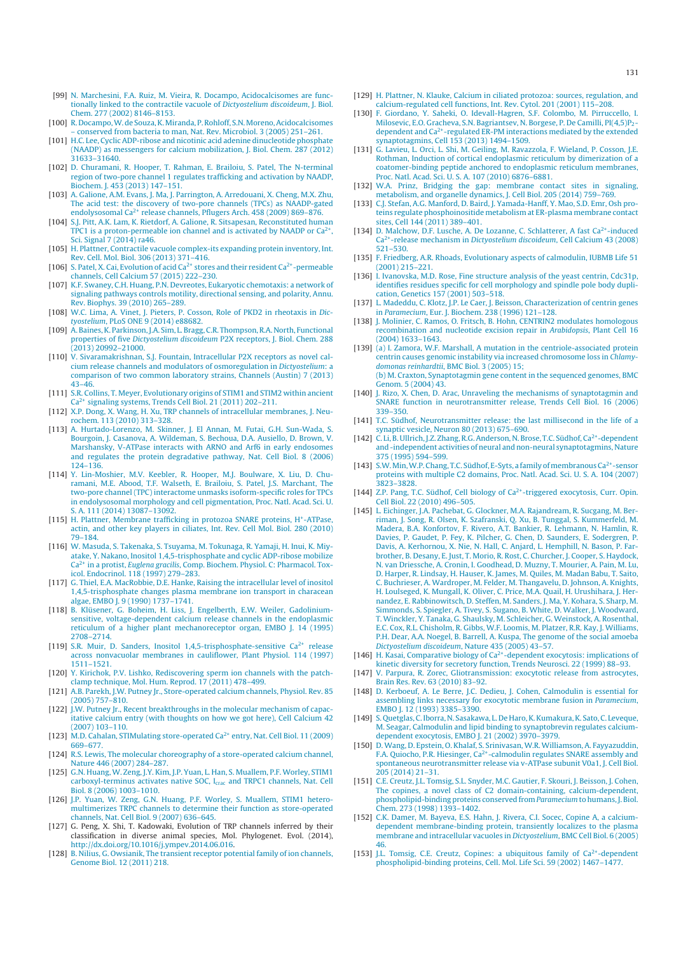- [99] N. Marchesini, F.A. Ruiz, M. Vieira, R. Docampo, Acidocalcisomes are functionally linked to the contractile vacuole of Dictyostelium discoideum, J. Biol. Chem. 277 (2002) 8146–8153.
- [100] R. Docampo,W.de Souza,K.Miranda, P.Rohloff, S.N.Moreno,Acidocalcisomes – conserved from bacteria to man, Nat. Rev. Microbiol. 3 (2005) 251–261.
- [101] H.C. Lee, Cyclic ADP-ribose and nicotinic acid adenine dinucleotide phosphate (NAADP) as messengers for calcium mobilization, J. Biol. Chem. 287 (2012) 31633–31640.
- [102] D. Churamani, R. Hooper, T. Rahman, E. Brailoiu, S. Patel, The N-terminal region of two-pore channel 1 regulates trafficking and activation by NAADP, Biochem. J. 453 (2013) 147–151.
- [103] A. Galione, A.M. Evans, J. Ma, J. Parrington, A. Arredouani, X. Cheng, M.X. Zhu, The acid test: the discovery of two-pore channels (TPCs) as NAADP-gated endolysosomal Ca<sup>2+</sup> release channels, Pflugers Arch. 458 (2009) 869–876.
- [104] S.J. Pitt, A.K. Lam, K. Rietdorf, A. Galione, R. Sitsapesan, Reconstituted human TPC1 is a proton-permeable ion channel and is activated by NAADP or  $Ca<sup>2+</sup>$ Sci. Signal 7 (2014) ra46.
- [105] H. Plattner, Contractile vacuole complex-its expanding protein inventory, Int. Rev. Cell. Mol. Biol. 306 (2013) 371–416.
- [106] S. Patel, X. Cai, Evolution of acid Ca<sup>2+</sup> stores and their resident Ca<sup>2+</sup>-permeable channels, Cell Calcium 57 (2015) 222–230.
- [107] K.F. Swaney, C.H. Huang, P.N. Devreotes, Eukaryotic chemotaxis: a network of signaling pathways controls motility, directional sensing, and polarity, Annu. Rev. Biophys. 39 (2010) 265–289.
- [108] W.C. Lima, A. Vinet, J. Pieters, P. Cosson, Role of PKD2 in rheotaxis in Dic-tyostelium, PLoS ONE 9 (2014) e88682.
- [109] A.Baines,K. Parkinson,J.A. Sim, L.Bragg,C.R. Thompson,R.A. North, Functional properties of five Dictyostelium discoideum P2X receptors, J. Biol. Chem. 288 (2013) 20992–21000.
- [110] V. Sivaramakrishnan, S.J. Fountain, Intracellular P2X receptors as novel calcium release channels and modulators of osmoregulation in Dictyostelium: a comparison of two common laboratory strains, Channels (Austin) 7 (2013) 43–46.
- [111] S.R. Collins, T. Meyer, Evolutionary origins of STIM1 and STIM2 within ancient Ca<sup>2+</sup> signaling systems, Trends Cell Biol. 21 (2011) 202–211.<br>[112] X.P. Dong, X. Wang, H. Xu, TRP channels of intracellular membranes, J. Neu-
- rochem. 113 (2010) 313–328.
- [113] A. Hurtado-Lorenzo, M. Skinner, J. El Annan, M. Futai, G.H. Sun-Wada, S. Bourgoin, J. Casanova, A. Wildeman, S. Bechoua, D.A. Ausiello, D. Brown, V. Marshansky, V-ATPase interacts with ARNO and Arf6 in early endosomes and regulates the protein degradative pathway, Nat. Cell Biol. 8 (2006) 124–136.
- [114] Y. Lin-Moshier, M.V. Keebler, R. Hooper, M.J. Boulware, X. Liu, D. Chu-ramani, M.E. Abood, T.F. Walseth, E. Brailoiu, S. Patel, J.S. Marchant, The two-pore channel (TPC) interactome unmasks isoform-specific roles for TPCs in endolysosomal morphology and cell pigmentation, Proc. Natl. Acad. Sci. U. S. A. 111 (2014) 13087–13092.
- [115] H. Plattner, Membrane trafficking in protozoa SNARE proteins, H+-ATPase, actin, and other key players in ciliates, Int. Rev. Cell Mol. Biol. 280 (2010) 79–184.
- [116] W. Masuda, S. Takenaka, S. Tsuyama, M. Tokunaga, R. Yamaji, H. Inui, K. Miyatake, Y. Nakano, Inositol 1,4,5-trisphosphate and cyclic ADP-ribose mobilize Ca2+ in a protist, Euglena gracilis, Comp. Biochem. Physiol. C: Pharmacol. Toxicol. Endocrinol. 118 (1997) 279–283.
- [117] G. Thiel, E.A. MacRobbie, D.E. Hanke, Raising the intracellular level of inositol 1,4,5-trisphosphate changes plasma membrane ion transport in characean algae, EMBO J. 9 (1990) 1737–1741.
- [118] B. Klüsener, G. Boheim, H. Liss, J. Engelberth, E.W. Weiler, Gadoliniumsensitive, voltage-dependent calcium release channels in the endoplasmic reticulum of a higher plant mechanoreceptor organ, EMBO J. 14 (1995) 2708–2714.
- [119] S.R. Muir, D. Sanders, Inositol 1.4.5-trisphosphate-sensitive  $Ca^{2+}$  release across nonvacuolar membranes in cauliflower, Plant Physiol. 114 (1997) 1511–1521.
- [120] Y. Kirichok, P.V. Lishko, Rediscovering sperm ion channels with the patch-clamp technique, Mol. Hum. Reprod. 17 (2011) 478–499.
- [121] A.B. Parekh, J.W. Putney Jr., Store-operated calcium channels, Physiol. Rev. 85 (2005) 757–810.
- [122] J.W. Putney Jr., Recent breakthroughs in the molecular mechanism of capacitative calcium entry (with thoughts on how we got here), Cell Calcium 42 (2007) 103–110.
- [123] M.D. Cahalan, STIMulating store-operated Ca<sup>2+</sup> entry, Nat. Cell Biol. 11 (2009) 669–677.
- [124] R.S. Lewis, The molecular choreography of a store-operated calcium channel, Nature 446 (2007) 284–287.
- [125] G.N. Huang, W. Zeng, J.Y. Kim, J.P. Yuan, L. Han, S. Muallem, P.F. Worley, STIM1 carboxyl-terminus activates native SOC, Icrac and TRPC1 channels, Nat. Cell Biol. 8 (2006) 1003–1010. [126] J.P. Yuan, W. Zeng, G.N. Huang, P.F. Worley, S. Muallem, STIM1 hetero-
- multimerizes TRPC channels to determine their function as store-operated channels, Nat. Cell Biol. 9 (2007) 636–645.
- [127] G. Peng, X. Shi, T. Kadowaki, Evolution of TRP channels inferred by their classification in diverse animal species, Mol. Phylogenet. Evol. (2014), http://dx.doi.org/10.1016/j.ympev.2014.06.016.
- [128] B. Nilius, G. Owsianik, The transient receptor potential family of ion channels, Genome Biol. 12 (2011) 218.
- [129] H. Plattner, N. Klauke, Calcium in ciliated protozoa: sources, regulation, and calcium-regulated cell functions, Int. Rev. Cytol. 201 (2001) 115–208.
- [130] F. Giordano, Y. Saheki, O. Idevall-Hagren, S.F. Colombo, M. Pirruccello, I. Milosevic, E.O. Gracheva, S.N. Bagriantsev, N. Borgese, P. De Camilli, PI(4,5)P<sub>2</sub>-<br>dependent and Ca<sup>2+</sup>-regulated ER-PM interactions mediated by the extended synaptotagmins, Cell 153 (2013) 1494–1509.
- [131] G. Lavieu, L. Orci, L. Shi, M. Geiling, M. Ravazzola, F. Wieland, P. Cosson, J.E. Rothman, Induction of cortical endoplasmic reticulum by dimerization of a coatomer-binding peptide anchored to endoplasmic reticulum membranes, Proc. Natl. Acad. Sci. U. S. A. 107 (2010) 6876–6881.
- [132] W.A. Prinz, Bridging the gap: membrane contact sites in signaling, metabolism, and organelle dynamics, J. Cell Biol. 205 (2014) 759–769.
- [133] C.J. Stefan, A.G. Manford, D. Baird, J. Yamada-Hanff, Y. Mao, S.D. Emr, Osh proteins regulate phosphoinositide metabolism at ER-plasma membrane contact sites, Cell 144 (2011) 389–401.
- [134] D. Malchow, D.F. Lusche, A. De Lozanne, C. Schlatterer, A fast Ca<sup>2+</sup>-induced Ca2+-release mechanism in Dictyostelium discoideum, Cell Calcium 43 (2008) 521–530.
- [135] F. Friedberg, A.R. Rhoads, Evolutionary aspects of calmodulin, IUBMB Life 51 (2001) 215–221.
- [136] I. Ivanovska, M.D. Rose, Fine structure analysis of the yeast centrin, Cdc31p, identifies residues specific for cell morphology and spindle pole body duplication, Genetics 157 (2001) 503–518.
- [137] L. Madeddu, C. Klotz, J.P. Le Caer, J. Beisson, Characterization of centrin genes in Paramecium, Eur. J. Biochem. 238 (1996) 121–128.
- [138] J. Molinier, C. Ramos, O. Fritsch, B. Hohn, CENTRIN2 modulates homologous recombination and nucleotide excision repair in Arabidopsis, Plant Cell 16 (2004) 1633–1643.
- [139] (a) I. Zamora, W.F. Marshall, A mutation in the centriole-associated protein centrin causes genomic instability via increased chromosome loss in Chlamy-domonas reinhardtii, BMC Biol. 3 (2005) 15; (b) M. Craxton, Synaptotagmin gene content in the sequenced genomes, BMC Genom. 5 (2004) 43.
- [140] J. Rizo, X. Chen, D. Arac, Unraveling the mechanisms of synaptotagmin and SNARE function in neurotransmitter release, Trends Cell Biol. 16 (2006) 339–350.
- [141] T.C. Südhof, Neurotransmitter release: the last millisecond in the life of a synaptic vesicle, Neuron 80 (2013) 675–690.
- [142] C. Li, B. Ullrich, J.Z. Zhang, R.G. Anderson, N. Brose, T.C. Südhof, Ca<sup>2+</sup>-dependent and -independent activities of neural and non-neural synaptotagmins, Nature 375 (1995) 594–599.
- [143] S.W. Min, W.P. Chang, T.C. Südhof, E-Syts, a family of membranous Ca<sup>2+</sup>-sensor proteins with multiple C2 domains, Proc. Natl. Acad. Sci. U. S. A. 104 (2007) .<br>3823–3828.
- [144] Z.P. Pang, T.C. Südhof, Cell biology of Ca<sup>2+</sup>-triggered exocytosis, Curr. Opin. Cell Biol. 22 (2010) 496–505.
- [145] L. Eichinger, J.A. Pachebat, G. Glockner, M.A. Rajandream, R. Sucgang, M. Berriman, J. Song, R. Olsen, K. Szafranski, Q. Xu, B. Tunggal, S. Kummerfeld, M. Madera, B.A. Konfortov, F. Rivero, A.T. Bankier, R. Lehmann, N. Hamlin, R. Davies, P. Gaudet, P. Fey, K. Pilcher, G. Chen, D. Saunders, E. Sodergren, P. Davis, A. Kerhornou, X. Nie, N. Hall, C. Anjard, L. Hemphill, N. Bason, P. Farbrother, B. Desany, E. Just, T. Morio, R. Rost, C. Churcher, J. Cooper, S. Haydock, N. van Driessche, A. Cronin, I. Goodhead, D. Muzny, T. Mourier, A. Pain, M. Lu, D. Harper, R. Lindsay, H. Hauser, K. James, M. Quiles, M. Madan Babu, T. Saito, C. Buchrieser, A. Wardroper, M. Felder, M. Thangavelu, D. Johnson, A. Knights, H. Loulseged, K. Mungall, K. Oliver, C. Price, M.A. Quail, H. Urushihara, J. Hernandez, E. Rabbinowitsch, D. Steffen, M. Sanders, J. Ma, Y. Kohara, S. Sharp, M. Simmonds, S. Spiegler, A. Tivey, S. Sugano, B. White, D. Walker, J. Woodward, T. Winckler, Y. Tanaka, G. Shaulsky, M. Schleicher, G. Weinstock, A. Rosenthal, E.C. Cox, R.L. Chisholm, R. Gibbs, W.F. Loomis, M. Platzer, R.R. Kay, J. Williams, P.H. Dear, A.A. Noegel, B. Barrell, A. Kuspa, The genome of the social amoeba
- Dictyostelium discoideum, Nature 435 (2005) 43–57.<br>[1**46**] H. Kasai, Comparative biology of Ca<sup>2+</sup>-dependent exocytosis: implications of kinetic diversity for secretory function, Trends Neurosci. 22 (1999) 88–93.
- [147] V. Parpura, R. Zorec, Gliotransmission: exocytotic release from astrocytes, Brain Res. Rev. 63 (2010) 83–92.
- [148] D. Kerboeuf, A. Le Berre, J.C. Dedieu, J. Cohen, Calmodulin is essential for assembling links necessary for exocytotic membrane fusion in Paramecium, EMBO J. 12 (1993) 3385–3390.
- [149] S. Quetglas,C.Iborra, N. Sasakawa, L. DeHaro,K.Kumakura,K. Sato,C. Leveque, M. Seagar, Calmodulin and lipid binding to synaptobrevin regulates calciumdependent exocytosis, EMBO J. 21 (2002) 3970–3979.
- [150] D. Wang, D. Epstein, O. Khalaf, S. Srinivasan, W.R. Williamson, A. Fayyazuddin, F.A. Quiocho, P.R. Hiesinger, Ca2+-calmodulin regulates SNARE assembly and spontaneous neurotransmitter release via v-ATPase subunit V0a1, J. Cell Biol. 205 (2014) 21–31.
- [151] C.E. Creutz, J.L. Tomsig, S.L. Snyder, M.C. Gautier, F. Skouri, J. Beisson, J. Cohen, The copines, a novel class of C2 domain-containing, calcium-dependent, phospholipid-binding proteins conserved from Paramecium to humans, J. Biol. Chem. 273 (1998) 1393–1402.
- [152] C.K. Damer, M. Bayeva, E.S. Hahn, J. Rivera, C.I. Socec, Copine A, a calciumdependent membrane-binding protein, transiently localizes to the plasma membrane and intracellular vacuoles in Dictyostelium, BMC Cell Biol. 6 (2005) 46.
- [153] J.L. Tomsig, C.E. Creutz, Copines: a ubiquitous family of Ca2+-dependent phospholipid-binding proteins, Cell. Mol. Life Sci. 59 (2002) 1467–1477.